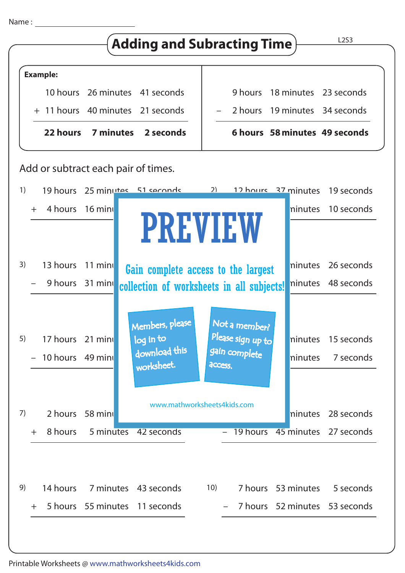



–

7 hours 52 minutes 53 seconds

+ 5 hours 55 minutes 11 seconds